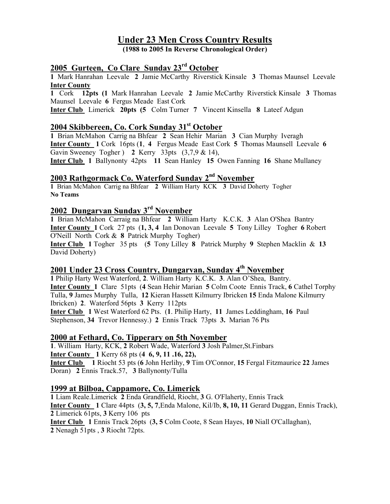# Under 23 Men Cross Country Results

(1988 to 2005 In Reverse Chronological Order)

# 2005 Gurteen, Co Clare Sunday 23<sup>rd</sup> October

1 Mark Hanrahan Leevale 2 Jamie McCarthy Riverstick Kinsale 3 Thomas Maunsel Leevale Inter County

1 Cork 12pts (1 Mark Hanrahan Leevale 2 Jamie McCarthy Riverstick Kinsale 3 Thomas Maunsel Leevale 6 Fergus Meade East Cork

Inter Club Limerick 20pts (5 Colm Turner 7 Vincent Kinsella 8 Lateef Adgun

### 2004 Skibbereen, Co. Cork Sunday 31<sup>st</sup> October

1 Brian McMahon Carrig na Bhfear 2 Sean Hehir Marian 3 Cian Murphy Iveragh Inter County 1 Cork 16pts (1, 4 Fergus Meade East Cork 5 Thomas Maunsell Leevale 6 Gavin Sweeney Togher ) 2 Kerry 33pts (3,7,9 & 14),

**Inter Club** 1 Ballynonty 42pts 11 Sean Hanley 15 Owen Fanning 16 Shane Mullaney

## 2003 Rathgormack Co. Waterford Sunday 2<sup>nd</sup> November

1 Brian McMahon Carrig na Bhfear 2 William Harty KCK 3 David Doherty Togher No Teams

## 2002 Dungarvan Sunday 3rd November

1 Brian McMahon Carraig na Bhfear 2 William Harty K.C.K. 3 Alan O'Shea Bantry Inter County 1 Cork 27 pts (1, 3, 4 Ian Donovan Leevale 5 Tony Lilley Togher 6 Robert O'Neill North Cork & 8 Patrick Murphy Togher)

Inter Club 1 Togher 35 pts (5 Tony Lilley 8 Patrick Murphy 9 Stephen Macklin & 13 David Doherty)

### 2001 Under 23 Cross Country, Dungarvan, Sunday 4<sup>th</sup> November

1 Philip Harty West Waterford, 2. William Harty K.C.K. 3. Alan O'Shea, Bantry. Inter County 1 Clare 51pts (4 Sean Hehir Marian 5 Colm Coote Ennis Track, 6 Cathel Torphy Tulla, 9 James Murphy Tulla, 12 Kieran Hassett Kilmurry Ibricken 15 Enda Malone Kilmurry Ibricken) 2. Waterford 56pts 3 Kerry 112pts Inter Club 1 West Waterford 62 Pts. (1. Philip Harty, 11 James Leddingham, 16 Paul

Stephenson, 34 Trevor Hennessy.) 2 Ennis Track 73pts 3. Marian 76 Pts

#### 2000 at Fethard, Co. Tipperary on 5th November

1. William Harty, KCK, 2 Robert Wade, Waterford 3 Josh Palmer,St.Finbars Inter County 1 Kerry 68 pts (4 6, 9, 11 .16, 22), Inter Club 1 Riocht 53 pts (6 John Herlihy, 9 Tim O'Connor, 15 Fergal Fitzmaurice 22 James Doran) 2 Ennis Track.57, 3 Ballynonty/Tulla

#### 1999 at Bilboa, Cappamore, Co. Limerick

1 Liam Reale.Limerick 2 Enda Grandfield, Riocht, 3 G. O'Flaherty, Ennis Track Inter County 1 Clare 44pts (3, 5, 7,Enda Malone, Kil/Ib, 8, 10, 11 Gerard Duggan, Ennis Track), 2 Limerick 61pts, 3 Kerry 106 pts Inter Club 1 Ennis Track 26pts (3, 5 Colm Coote, 8 Sean Hayes, 10 Niall O'Callaghan), 2 Nenagh 51pts , 3 Riocht 72pts.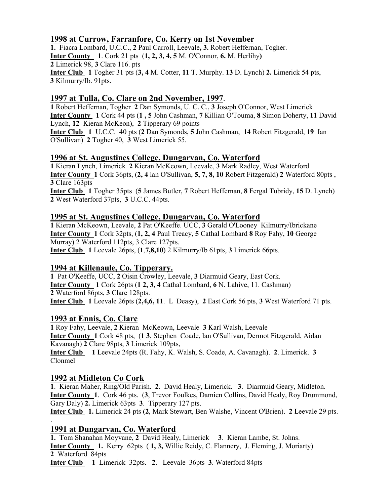## 1998 at Currow, Farranfore, Co. Kerry on 1st November

1. Fiacra Lombard, U.C.C., 2 Paul Carroll, Leevale, 3. Robert Heffernan, Togher. Inter County 1. Cork 21 pts (1, 2, 3, 4, 5 M. O'Connor, 6. M. Herlihy) 2 Limerick 98, 3 Clare 116. pts Inter Club 1 Togher 31 pts (3, 4 M. Cotter, 11 T. Murphy. 13 D. Lynch) 2. Limerick 54 pts, 3 Kilmurry/Ib. 91pts.

### 1997 at Tulla, Co. Clare on 2nd November, 1997.

1 Robert Heffernan, Togher 2 Dan Symonds, U. C. C., 3 Joseph O'Connor, West Limerick Inter County 1 Cork 44 pts (1 , 5 John Cashman, 7 Killian O'Touma, 8 Simon Doherty, 11 David Lynch, 12 Kieran McKeon), 2 Tipperary 69 points

Inter Club 1 U.C.C. 40 pts (2 Dan Symonds, 5 John Cashman, 14 Robert Fitzgerald, 19 Ian O'Sullivan) 2 Togher 40, 3 West Limerick 55.

#### 1996 at St. Augustines College, Dungarvan, Co. Waterford

1 Kieran Lynch, Limerick 2 Kieran McKeown, Leevale, 3 Mark Radley, West Waterford Inter County 1 Cork 36pts, (2, 4 lan O'Sullivan, 5, 7, 8, 10 Robert Fitzgerald) 2 Waterford 80pts , 3 Clare 163pts

Inter Club 1 Togher 35pts (5 James Butler, 7 Robert Heffernan, 8 Fergal Tubridy, 15 D. Lynch) 2 West Waterford 37pts, 3 U.C.C. 44pts.

#### 1995 at St. Augustines College, Dungarvan, Co. Waterford

1 Kieran McKeown, Leevale, 2 Pat O'Keeffe. UCC, 3 Gerald O'Looney Kilmurry/Ibrickane Inter County 1 Cork 32pts, (1, 2, 4 Paul Treacy, 5 Cathal Lombard 8 Roy Fahy, 10 George Murray) 2 Waterford 112pts, 3 Clare 127pts. Inter Club 1 Leevale 26pts, (1,7,8,10) 2 Kilmurry/Ib 61pts, 3 Limerick 66pts.

#### 1994 at Killenaule, Co. Tipperary.

1 Pat O'Keeffe, UCC, 2 Oisin Crowley, Leevale, 3 Diarmuid Geary, East Cork. Inter County 1 Cork 26pts (1 2, 3, 4 Cathal Lombard, 6 N. Lahive, 11. Cashman) 2 Waterford 86pts, 3 Clare 128pts. Inter Club 1 Leevale 26pts (2,4,6, 11. L Deasy), 2 East Cork 56 pts, 3 West Waterford 71 pts.

#### 1993 at Ennis, Co. Clare

1 Roy Fahy, Leevale, 2 Kieran McKeown, Leevale 3 Karl Walsh, Leevale Inter County 1 Cork 48 pts, (1 3, Stephen Coade, lan O'Sullivan, Dermot Fitzgerald, Aidan Kavanagh) 2 Clare 98pts, 3 Limerick 109pts, Inter Club 1 Leevale 24pts (R. Fahy, K. Walsh, S. Coade, A. Cavanagh). 2. Limerick. 3 Clonmel

#### 1992 at Midleton Co Cork

.

1. Kieran Maher, Ring/Old Parish. 2. David Healy, Limerick. 3. Diarmuid Geary, Midleton. Inter County 1. Cork 46 pts. (3, Trevor Foulkes, Damien Collins, David Healy, Roy Drummond, Gary Daly) 2. Limerick 63pts 3. Tipperary 127 pts.

Inter Club 1. Limerick 24 pts (2, Mark Stewart, Ben Walshe, Vincent O'Brien). 2 Leevale 29 pts.

#### 1991 at Dungarvan, Co. Waterford

1. Tom Shanahan Moyvane, 2 David Healy, Limerick 3. Kieran Lambe, St. Johns. Inter County 1. Kerry 62pts ( 1, 3, Willie Reidy, C. Flannery, J. Fleming, J. Moriarty) 2 Waterford 84pts Inter Club 1 Limerick 32pts. 2. Leevale 36pts 3. Waterford 84pts